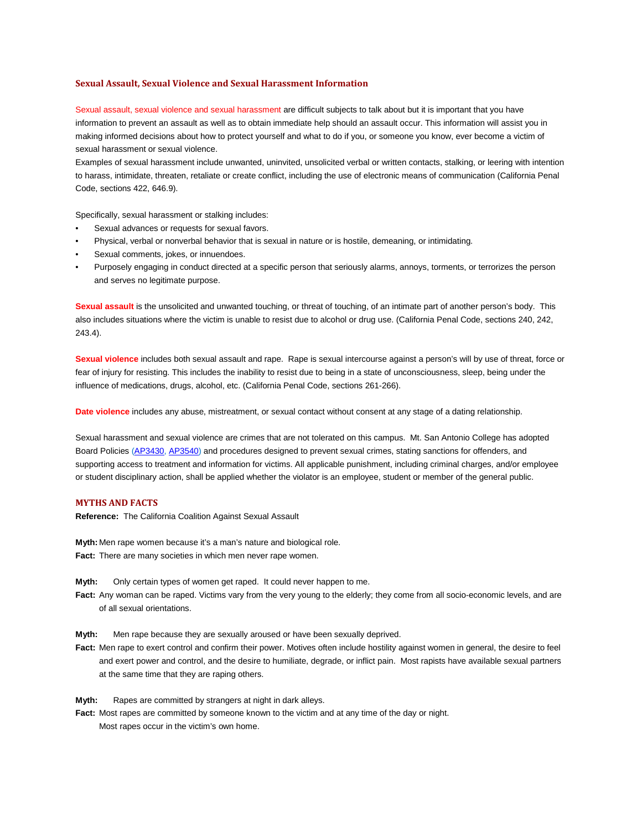#### **Sexual Assault, Sexual Violence and Sexual Harassment Information**

 Sexual assault, sexual violence and sexual harassment are difficult subjects to talk about but it is important that you have information to prevent an assault as well as to obtain immediate help should an assault occur. This information will assist you in making informed decisions about how to protect yourself and what to do if you, or someone you know, ever become a victim of sexual harassment or sexual violence.

Code, sections 422, 646.9). Examples of sexual harassment include unwanted, uninvited, unsolicited verbal or written contacts, stalking, or leering with intention to harass, intimidate, threaten, retaliate or create conflict, including the use of electronic means of communication (California Penal

Code, sections 422, 646.9).<br>Specifically, sexual harassment or stalking includes:

- Sexual advances or requests for sexual favors.
- Physical, verbal or nonverbal behavior that is sexual in nature or is hostile, demeaning, or intimidating.
- Sexual comments, jokes, or innuendoes.
- • Purposely engaging in conduct directed at a specific person that seriously alarms, annoys, torments, or terrorizes the person and serves no legitimate purpose.

 **Sexual assault** is the unsolicited and unwanted touching, or threat of touching, of an intimate part of another person's body. This also includes situations where the victim is unable to resist due to alcohol or drug use. (California Penal Code, sections 240, 242, 243.4).

 **Sexual violence** includes both sexual assault and rape. Rape is sexual intercourse against a person's will by use of threat, force or influence of medications, drugs, alcohol, etc. (California Penal Code, sections 261-266). fear of injury for resisting. This includes the inability to resist due to being in a state of unconsciousness, sleep, being under the

**Date violence** includes any abuse, mistreatment, or sexual contact without consent at any stage of a dating relationship.

 Sexual harassment and sexual violence are crimes that are not tolerated on this campus. Mt. San Antonio College has adopted Board Policies (AP3430, AP3540) and procedures designed to prevent sexual crimes, stating sanctions for offenders, and or student disciplinary action, shall be applied whether the violator is an employee, student or member of the general public. supporting access to treatment and information for victims. All applicable punishment, including criminal charges, and/or employee

## **MYTHS AND FACTS**

**Reference:** The California Coalition Against Sexual Assault

 **Fact:** There are many societies in which men never rape women. **Myth:** Men rape women because it's a man's nature and biological role.

Myth<sup>-</sup> Only certain types of women get raped. It could never happen to me.

 **Fact:** Any woman can be raped. Victims vary from the very young to the elderly; they come from all socio-economic levels, and are of all sexual orientations.

Myth: Men rape because they are sexually aroused or have been sexually deprived.

 **Fact:** Men rape to exert control and confirm their power. Motives often include hostility against women in general, the desire to feel and exert power and control, and the desire to humiliate, degrade, or inflict pain. Most rapists have available sexual partners at the same time that they are raping others.

**Myth:** Rapes are committed by strangers at night in dark alleys.

 **Fact:** Most rapes are committed by someone known to the victim and at any time of the day or night. Most rapes occur in the victim's own home.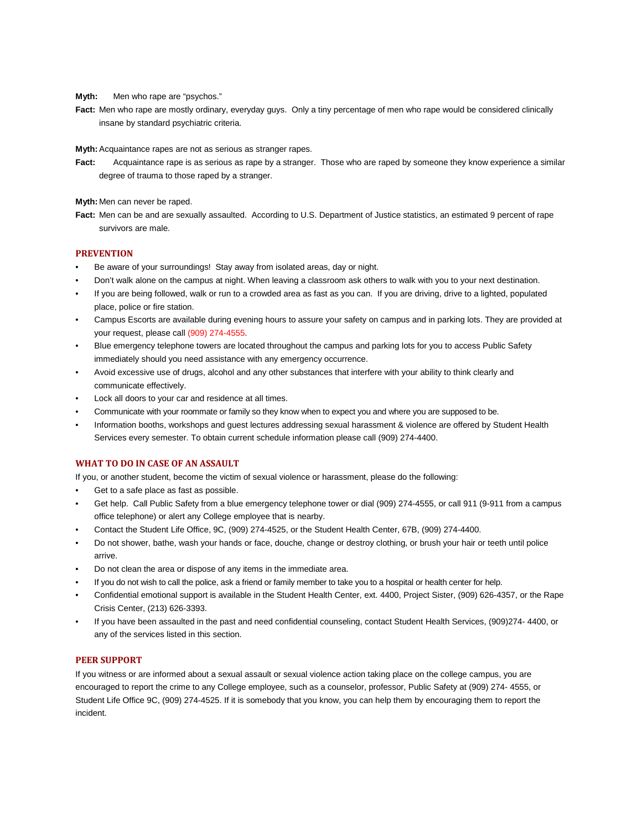**Myth:** Men who rape are "psychos."

 **Fact:** Men who rape are mostly ordinary, everyday guys. Only a tiny percentage of men who rape would be considered clinically insane by standard psychiatric criteria.

**Myth:** Acquaintance rapes are not as serious as stranger rapes.

**Fact:** Acquaintance rape is as serious as rape by a stranger. Those who are raped by someone they know experience a similar degree of trauma to those raped by a stranger.

**Myth:** Men can never be raped.

 **Fact:** Men can be and are sexually assaulted. According to U.S. Department of Justice statistics, an estimated 9 percent of rape survivors are male.

## **PREVENTION**

- Be aware of your surroundings! Stay away from isolated areas, day or night.
- Don't walk alone on the campus at night. When leaving a classroom ask others to walk with you to your next destination.
- • If you are being followed, walk or run to a crowded area as fast as you can. If you are driving, drive to a lighted, populated place, police or fire station.
- Campus Escorts are available during evening hours to assure your safety on campus and in parking lots. They are provided at your request, please call (909) 274-4555.
- • Blue emergency telephone towers are located throughout the campus and parking lots for you to access Public Safety immediately should you need assistance with any emergency occurrence.
- • Avoid excessive use of drugs, alcohol and any other substances that interfere with your ability to think clearly and communicate effectively.
- Lock all doors to your car and residence at all times.
- Communicate with your roommate or family so they know when to expect you and where you are supposed to be.
- Information booths, workshops and guest lectures addressing sexual harassment & violence are offered by Student Health Services every semester. To obtain current schedule information please call (909) 274-4400.

## **WHAT TO DO IN CASE OF AN ASSAULT**

If you, or another student, become the victim of sexual violence or harassment, please do the following:

- Get to a safe place as fast as possible.
- • Get help. Call Public Safety from a blue emergency telephone tower or dial (909) 274-4555, or call 911 (9-911 from a campus office telephone) or alert any College employee that is nearby.
- Contact the Student Life Office, 9C, (909) 274-4525, or the Student Health Center, 67B, (909) 274-4400.
- • Do not shower, bathe, wash your hands or face, douche, change or destroy clothing, or brush your hair or teeth until police arrive.
- Do not clean the area or dispose of any items in the immediate area.
- If you do not wish to call the police, ask a friend or family member to take you to a hospital or health center for help.
- Confidential emotional support is available in the Student Health Center, ext. 4400, Project Sister, (909) 626-4357, or the Rape Crisis Center, (213) 626-3393.
- • If you have been assaulted in the past and need confidential counseling, contact Student Health Services, (909)274- 4400, or any of the services listed in this section.

#### **PEER SUPPORT**

 encouraged to report the crime to any College employee, such as a counselor, professor, Public Safety at (909) 274- 4555, or Student Life Office 9C, (909) 274-4525. If it is somebody that you know, you can help them by encouraging them to report the If you witness or are informed about a sexual assault or sexual violence action taking place on the college campus, you are incident.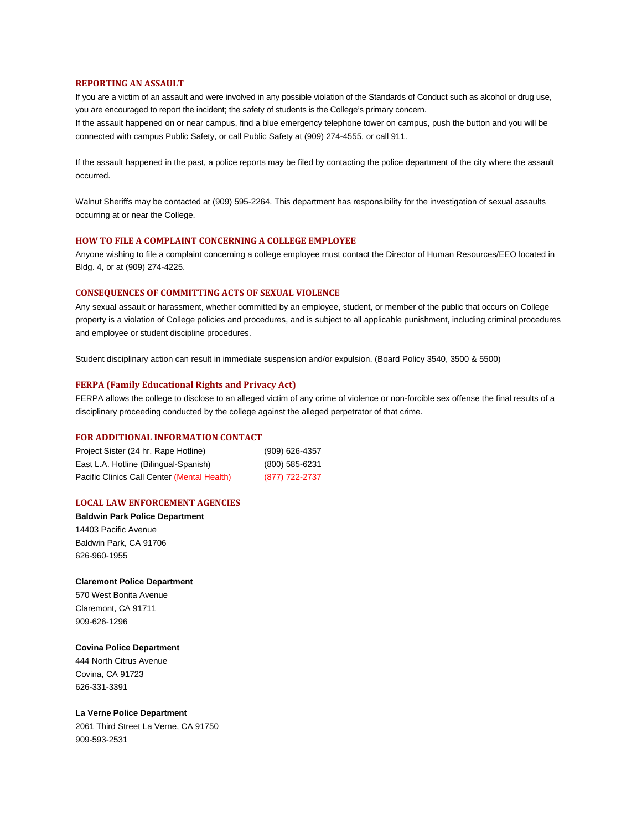#### **REPORTING AN ASSAULT**

 If you are a victim of an assault and were involved in any possible violation of the Standards of Conduct such as alcohol or drug use, you are encouraged to report the incident; the safety of students is the College's primary concern.

 If the assault happened on or near campus, find a blue emergency telephone tower on campus, push the button and you will be connected with campus Public Safety, or call Public Safety at (909) 274-4555, or call 911.

 If the assault happened in the past, a police reports may be filed by contacting the police department of the city where the assault occurred.

 Walnut Sheriffs may be contacted at (909) 595-2264. This department has responsibility for the investigation of sexual assaults occurring at or near the College.

#### **HOW TO FILE A COMPLAINT CONCERNING A COLLEGE EMPLOYEE**

 Anyone wishing to file a complaint concerning a college employee must contact the Director of Human Resources/EEO located in Bldg. 4, or at (909) 274-4225.

#### **CONSEQUENCES OF COMMITTING ACTS OF SEXUAL VIOLENCE**

 Any sexual assault or harassment, whether committed by an employee, student, or member of the public that occurs on College property is a violation of College policies and procedures, and is subject to all applicable punishment, including criminal procedures and employee or student discipline procedures.

Student disciplinary action can result in immediate suspension and/or expulsion. (Board Policy 3540, 3500 & 5500)

## **FERPA (Family Educational Rights and Privacy Act)**

FERPA allows the college to disclose to an alleged victim of any crime of violence or non-forcible sex offense the final results of a disciplinary proceeding conducted by the college against the alleged perpetrator of that crime.

#### **FOR ADDITIONAL INFORMATION CONTACT**

| Project Sister (24 hr. Rape Hotline)        | (909) 626-4357 |
|---------------------------------------------|----------------|
| East L.A. Hotline (Bilingual-Spanish)       | (800) 585-6231 |
| Pacific Clinics Call Center (Mental Health) | (877) 722-2737 |

# **LOCAL LAW ENFORCEMENT AGENCIES**

**Baldwin Park Police Department**  14403 Pacific Avenue Baldwin Park, CA 91706 626-960-1955

## **Claremont Police Department**

570 West Bonita Avenue Claremont, CA 91711 909-626-1296

#### **Covina Police Department**

444 North Citrus Avenue Covina, CA 91723 626-331-3391

#### **La Verne Police Department**

2061 Third Street La Verne, CA 91750 909-593-2531